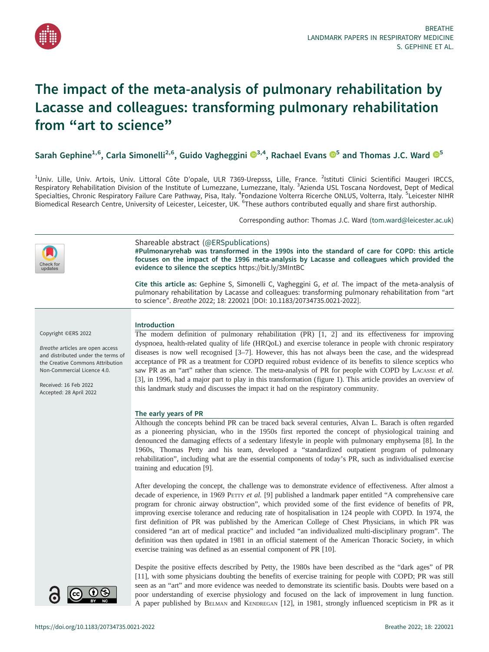

# The impact of the meta-analysis of pulmonary rehabilitation by Lacasse and colleagues: transforming pulmonary rehabilitation from "art to science"

Sarah Gephine<sup>1,6</sup>, Carla Simonelli<sup>2,6</sup>, Guido Vagheggini  $\mathbb{S}^{3,4}$  $\mathbb{S}^{3,4}$  $\mathbb{S}^{3,4}$ , Rachael Evans  $\mathbb{S}^5$  $\mathbb{S}^5$  and Thomas J.C. Ward  $\mathbb{S}^5$ 

<sup>1</sup>Univ. Lille, Univ. Artois, Univ. Littoral Côte D'opale, ULR 7369-Urepsss, Lille, France. <sup>2</sup>Istituti Clinici Scientifici Maugeri IRCCS, Respiratory Rehabilitation Division of the Institute of Lumezzane, Lumezzane, Italy. <sup>3</sup>Azienda USL Toscana Nordovest, Dept of Medical<br>Specialties, Chronic Respiratory Failure Care Pathway, Pisa, Italy. <sup>4</sup>Fondazione Volte Biomedical Research Centre, University of Leicester, Leicester, UK. <sup>6</sup>These authors contributed equally and share first authorship.

Corresponding author: Thomas J.C. Ward [\(tom.ward@leicester.ac.uk](mailto:tom.ward@leicester.ac.uk))



A paper published by BELMAN and KENDREGAN [[12\]](#page-3-0), in 1981, strongly influenced scepticism in PR as it

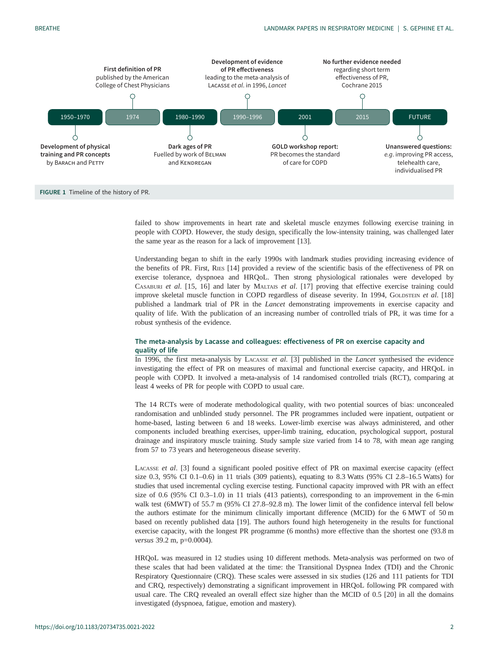<span id="page-1-0"></span>

failed to show improvements in heart rate and skeletal muscle enzymes following exercise training in people with COPD. However, the study design, specifically the low-intensity training, was challenged later the same year as the reason for a lack of improvement [\[13](#page-3-0)].

Understanding began to shift in the early 1990s with landmark studies providing increasing evidence of the benefits of PR. First, RIES [[14\]](#page-3-0) provided a review of the scientific basis of the effectiveness of PR on exercise tolerance, dyspnoea and HRQoL. Then strong physiological rationales were developed by CASABURI et al. [\[15](#page-3-0), [16\]](#page-3-0) and later by MALTAIS et al. [\[17](#page-3-0)] proving that effective exercise training could improve skeletal muscle function in COPD regardless of disease severity. In 1994, GOLDSTEIN et al. [[18\]](#page-3-0) published a landmark trial of PR in the Lancet demonstrating improvements in exercise capacity and quality of life. With the publication of an increasing number of controlled trials of PR, it was time for a robust synthesis of the evidence.

# The meta-analysis by Lacasse and colleagues: effectiveness of PR on exercise capacity and quality of life

In 1996, the first meta-analysis by LACASSE et al. [[3](#page-3-0)] published in the Lancet synthesised the evidence investigating the effect of PR on measures of maximal and functional exercise capacity, and HRQoL in people with COPD. It involved a meta-analysis of 14 randomised controlled trials (RCT), comparing at least 4 weeks of PR for people with COPD to usual care.

The 14 RCTs were of moderate methodological quality, with two potential sources of bias: unconcealed randomisation and unblinded study personnel. The PR programmes included were inpatient, outpatient or home-based, lasting between 6 and 18 weeks. Lower-limb exercise was always administered, and other components included breathing exercises, upper-limb training, education, psychological support, postural drainage and inspiratory muscle training. Study sample size varied from 14 to 78, with mean age ranging from 57 to 73 years and heterogeneous disease severity.

LACASSE et al. [\[3\]](#page-3-0) found a significant pooled positive effect of PR on maximal exercise capacity (effect size 0.3, 95% CI 0.1–0.6) in 11 trials (309 patients), equating to 8.3 Watts (95% CI 2.8–16.5 Watts) for studies that used incremental cycling exercise testing. Functional capacity improved with PR with an effect size of 0.6 (95% CI 0.3–1.0) in 11 trials (413 patients), corresponding to an improvement in the 6-min walk test (6MWT) of 55.7 m (95% CI 27.8–92.8 m). The lower limit of the confidence interval fell below the authors estimate for the minimum clinically important difference (MCID) for the 6 MWT of 50 m based on recently published data [[19\]](#page-3-0). The authors found high heterogeneity in the results for functional exercise capacity, with the longest PR programme (6 months) more effective than the shortest one (93.8 m versus 39.2 m, p=0.0004).

HRQoL was measured in 12 studies using 10 different methods. Meta-analysis was performed on two of these scales that had been validated at the time: the Transitional Dyspnea Index (TDI) and the Chronic Respiratory Questionnaire (CRQ). These scales were assessed in six studies (126 and 111 patients for TDI and CRQ, respectively) demonstrating a significant improvement in HRQoL following PR compared with usual care. The CRQ revealed an overall effect size higher than the MCID of 0.5 [[20](#page-4-0)] in all the domains investigated (dyspnoea, fatigue, emotion and mastery).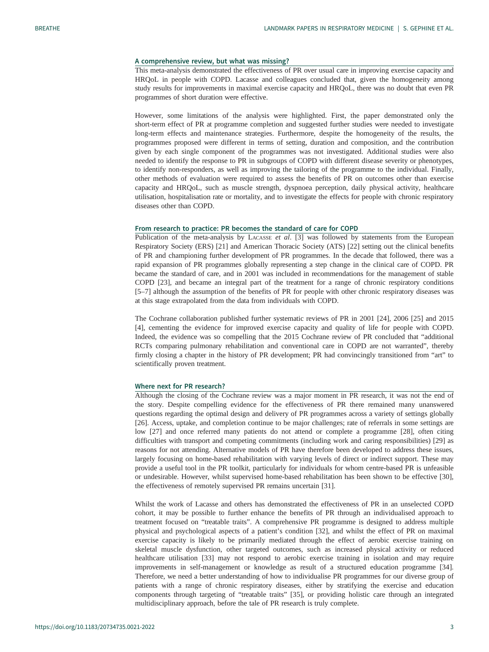### A comprehensive review, but what was missing?

This meta-analysis demonstrated the effectiveness of PR over usual care in improving exercise capacity and HRQoL in people with COPD. Lacasse and colleagues concluded that, given the homogeneity among study results for improvements in maximal exercise capacity and HRQoL, there was no doubt that even PR programmes of short duration were effective.

However, some limitations of the analysis were highlighted. First, the paper demonstrated only the short-term effect of PR at programme completion and suggested further studies were needed to investigate long-term effects and maintenance strategies. Furthermore, despite the homogeneity of the results, the programmes proposed were different in terms of setting, duration and composition, and the contribution given by each single component of the programmes was not investigated. Additional studies were also needed to identify the response to PR in subgroups of COPD with different disease severity or phenotypes, to identify non-responders, as well as improving the tailoring of the programme to the individual. Finally, other methods of evaluation were required to assess the benefits of PR on outcomes other than exercise capacity and HRQoL, such as muscle strength, dyspnoea perception, daily physical activity, healthcare utilisation, hospitalisation rate or mortality, and to investigate the effects for people with chronic respiratory diseases other than COPD.

## From research to practice: PR becomes the standard of care for COPD

Publication of the meta-analysis by LACASSE et al. [[3](#page-3-0)] was followed by statements from the European Respiratory Society (ERS) [[21\]](#page-4-0) and American Thoracic Society (ATS) [\[22](#page-4-0)] setting out the clinical benefits of PR and championing further development of PR programmes. In the decade that followed, there was a rapid expansion of PR programmes globally representing a step change in the clinical care of COPD. PR became the standard of care, and in 2001 was included in recommendations for the management of stable COPD [\[23](#page-4-0)], and became an integral part of the treatment for a range of chronic respiratory conditions [\[5](#page-3-0)–[7\]](#page-3-0) although the assumption of the benefits of PR for people with other chronic respiratory diseases was at this stage extrapolated from the data from individuals with COPD.

The Cochrane collaboration published further systematic reviews of PR in 2001 [\[24](#page-4-0)], 2006 [[25\]](#page-4-0) and 2015 [\[4\]](#page-3-0), cementing the evidence for improved exercise capacity and quality of life for people with COPD. Indeed, the evidence was so compelling that the 2015 Cochrane review of PR concluded that "additional RCTs comparing pulmonary rehabilitation and conventional care in COPD are not warranted", thereby firmly closing a chapter in the history of PR development; PR had convincingly transitioned from "art" to scientifically proven treatment.

#### Where next for PR research?

Although the closing of the Cochrane review was a major moment in PR research, it was not the end of the story. Despite compelling evidence for the effectiveness of PR there remained many unanswered questions regarding the optimal design and delivery of PR programmes across a variety of settings globally [\[26](#page-4-0)]. Access, uptake, and completion continue to be major challenges; rate of referrals in some settings are low [\[27](#page-4-0)] and once referred many patients do not attend or complete a programme [[28\]](#page-4-0), often citing difficulties with transport and competing commitments (including work and caring responsibilities) [[29\]](#page-4-0) as reasons for not attending. Alternative models of PR have therefore been developed to address these issues, largely focusing on home-based rehabilitation with varying levels of direct or indirect support. These may provide a useful tool in the PR toolkit, particularly for individuals for whom centre-based PR is unfeasible or undesirable. However, whilst supervised home-based rehabilitation has been shown to be effective [[30\]](#page-4-0), the effectiveness of remotely supervised PR remains uncertain [[31\]](#page-4-0).

Whilst the work of Lacasse and others has demonstrated the effectiveness of PR in an unselected COPD cohort, it may be possible to further enhance the benefits of PR through an individualised approach to treatment focused on "treatable traits". A comprehensive PR programme is designed to address multiple physical and psychological aspects of a patient's condition [[32\]](#page-4-0), and whilst the effect of PR on maximal exercise capacity is likely to be primarily mediated through the effect of aerobic exercise training on skeletal muscle dysfunction, other targeted outcomes, such as increased physical activity or reduced healthcare utilisation [[33\]](#page-4-0) may not respond to aerobic exercise training in isolation and may require improvements in self-management or knowledge as result of a structured education programme [[34\]](#page-4-0). Therefore, we need a better understanding of how to individualise PR programmes for our diverse group of patients with a range of chronic respiratory diseases, either by stratifying the exercise and education components through targeting of "treatable traits" [[35\]](#page-4-0), or providing holistic care through an integrated multidisciplinary approach, before the tale of PR research is truly complete.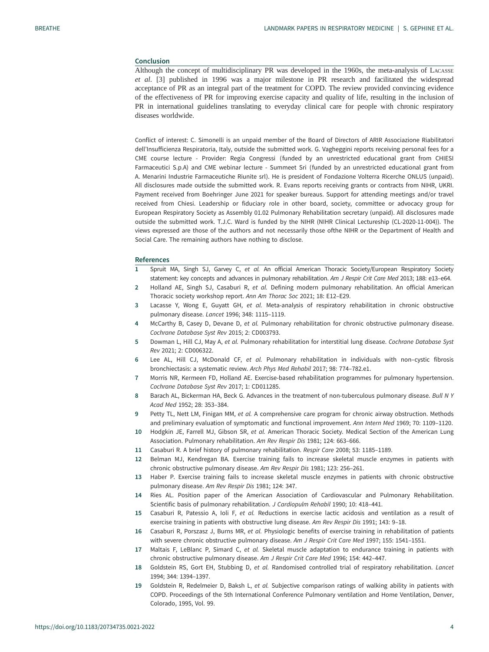## <span id="page-3-0"></span>Conclusion

Although the concept of multidisciplinary PR was developed in the 1960s, the meta-analysis of LACASSE et al. [3] published in 1996 was a major milestone in PR research and facilitated the widespread acceptance of PR as an integral part of the treatment for COPD. The review provided convincing evidence of the effectiveness of PR for improving exercise capacity and quality of life, resulting in the inclusion of PR in international guidelines translating to everyday clinical care for people with chronic respiratory diseases worldwide.

Conflict of interest: C. Simonelli is an unpaid member of the Board of Directors of ARIR Associazione Riabilitatori dell'Insufficienza Respiratoria, Italy, outside the submitted work. G. Vagheggini reports receiving personal fees for a CME course lecture - Provider: Regia Congressi (funded by an unrestricted educational grant from CHIESI Farmaceutici S.p.A) and CME webinar lecture - Summeet Sri (funded by an unrestricted educational grant from A. Menarini Industrie Farmaceutiche Riunite srl). He is president of Fondazione Volterra Ricerche ONLUS (unpaid). All disclosures made outside the submitted work. R. Evans reports receiving grants or contracts from NIHR, UKRI. Payment received from Boehringer June 2021 for speaker bureaus. Support for attending meetings and/or travel received from Chiesi. Leadership or fiduciary role in other board, society, committee or advocacy group for European Respiratory Society as Assembly 01.02 Pulmonary Rehabilitation secretary (unpaid). All disclosures made outside the submitted work. T.J.C. Ward is funded by the NIHR (NIHR Clinical Lectureship (CL-2020-11-004)). The views expressed are those of the authors and not necessarily those ofthe NIHR or the Department of Health and Social Care. The remaining authors have nothing to disclose.

#### References

- 1 Spruit MA, Singh SJ, Garvey C, et al. An official American Thoracic Society/European Respiratory Society statement: key concepts and advances in pulmonary rehabilitation. Am J Respir Crit Care Med 2013; 188: e13-e64.
- 2 Holland AE, Singh SJ, Casaburi R, et al. Defining modern pulmonary rehabilitation. An official American Thoracic society workshop report. Ann Am Thorac Soc 2021; 18: E12–E29.
- 3 Lacasse Y, Wong E, Guyatt GH, et al. Meta-analysis of respiratory rehabilitation in chronic obstructive pulmonary disease. Lancet 1996; 348: 1115–1119.
- 4 McCarthy B, Casey D, Devane D, et al. Pulmonary rehabilitation for chronic obstructive pulmonary disease. Cochrane Database Syst Rev 2015; 2: CD003793.
- 5 Dowman L, Hill CJ, May A, et al. Pulmonary rehabilitation for interstitial lung disease. Cochrane Database Syst Rev 2021; 2: CD006322.
- 6 Lee AL, Hill CJ, McDonald CF, et al. Pulmonary rehabilitation in individuals with non–cystic fibrosis bronchiectasis: a systematic review. Arch Phys Med Rehabil 2017; 98: 774–782.e1.
- 7 Morris NR, Kermeen FD, Holland AE. Exercise-based rehabilitation programmes for pulmonary hypertension. Cochrane Database Syst Rev 2017; 1: CD011285.
- 8 Barach AL, Bickerman HA, Beck G. Advances in the treatment of non-tuberculous pulmonary disease. Bull N Y Acad Med 1952; 28: 353–384.
- 9 Petty TL, Nett LM, Finigan MM, et al. A comprehensive care program for chronic airway obstruction. Methods and preliminary evaluation of symptomatic and functional improvement. Ann Intern Med 1969; 70: 1109–1120.
- 10 Hodgkin JE, Farrell MJ, Gibson SR, et al. American Thoracic Society. Medical Section of the American Lung Association. Pulmonary rehabilitation. Am Rev Respir Dis 1981; 124: 663–666.
- 11 Casaburi R. A brief history of pulmonary rehabilitation. Respir Care 2008; 53: 1185–1189.
- 12 Belman MJ, Kendregan BA. Exercise training fails to increase skeletal muscle enzymes in patients with chronic obstructive pulmonary disease. Am Rev Respir Dis 1981; 123: 256–261.
- 13 Haber P. Exercise training fails to increase skeletal muscle enzymes in patients with chronic obstructive pulmonary disease. Am Rev Respir Dis 1981; 124: 347.
- 14 Ries AL. Position paper of the American Association of Cardiovascular and Pulmonary Rehabilitation. Scientific basis of pulmonary rehabilitation. J Cardiopulm Rehabil 1990; 10: 418–441.
- 15 Casaburi R, Patessio A, Ioli F, et al. Reductions in exercise lactic acidosis and ventilation as a result of exercise training in patients with obstructive lung disease. Am Rev Respir Dis 1991; 143: 9–18.
- 16 Casaburi R, Porszasz J, Burns MR, et al. Physiologic benefits of exercise training in rehabilitation of patients with severe chronic obstructive pulmonary disease. Am J Respir Crit Care Med 1997; 155: 1541-1551.
- 17 Maltais F, LeBlanc P, Simard C, et al. Skeletal muscle adaptation to endurance training in patients with chronic obstructive pulmonary disease. Am J Respir Crit Care Med 1996; 154: 442–447.
- 18 Goldstein RS, Gort EH, Stubbing D, et al. Randomised controlled trial of respiratory rehabilitation. Lancet 1994; 344: 1394–1397.
- 19 Goldstein R, Redelmeier D, Baksh L, et al. Subjective comparison ratings of walking ability in patients with COPD. Proceedings of the 5th International Conference Pulmonary ventilation and Home Ventilation, Denver, Colorado, 1995, Vol. 99.